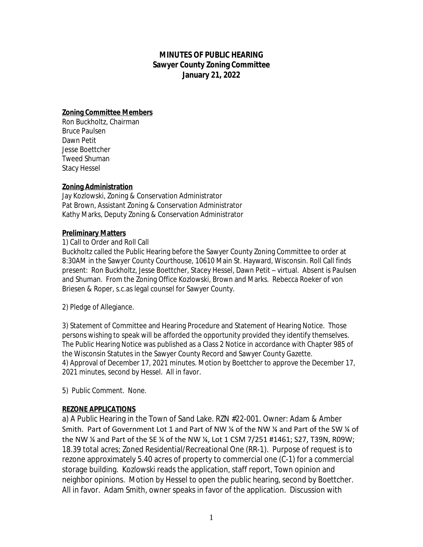# **MINUTES OF PUBLIC HEARING Sawyer County Zoning Committee January 21, 2022**

## **Zoning Committee Members**

Ron Buckholtz, Chairman Bruce Paulsen Dawn Petit Jesse Boettcher Tweed Shuman Stacy Hessel

## **Zoning Administration**

Jay Kozlowski, Zoning & Conservation Administrator Pat Brown, Assistant Zoning & Conservation Administrator Kathy Marks, Deputy Zoning & Conservation Administrator

## **Preliminary Matters**

#### 1) Call to Order and Roll Call

Buckholtz called the Public Hearing before the Sawyer County Zoning Committee to order at 8:30AM in the Sawyer County Courthouse, 10610 Main St. Hayward, Wisconsin. Roll Call finds present: Ron Buckholtz, Jesse Boettcher, Stacey Hessel, Dawn Petit – virtual. Absent is Paulsen and Shuman. From the Zoning Office Kozlowski, Brown and Marks. Rebecca Roeker of von Briesen & Roper, s.c.as legal counsel for Sawyer County.

2) Pledge of Allegiance.

3) Statement of Committee and Hearing Procedure and Statement of Hearing Notice. Those persons wishing to speak will be afforded the opportunity provided they identify themselves. The Public Hearing Notice was published as a Class 2 Notice in accordance with Chapter 985 of the Wisconsin Statutes in the Sawyer County Record and Sawyer County Gazette. 4) Approval of December 17, 2021 minutes. Motion by Boettcher to approve the December 17, 2021 minutes, second by Hessel. All in favor.

5) Public Comment. None.

# **REZONE APPLICATIONS**

a) A Public Hearing in the Town of Sand Lake. RZN #22-001. Owner: Adam & Amber Smith. Part of Government Lot 1 and Part of NW ¼ of the NW ¼ and Part of the SW ¼ of the NW ¼ and Part of the SE ¼ of the NW ¼, Lot 1 CSM 7/251 #1461; S27, T39N, R09W; 18.39 total acres; Zoned Residential/Recreational One (RR-1). Purpose of request is to rezone approximately 5.40 acres of property to commercial one (C-1) for a commercial storage building. Kozlowski reads the application, staff report, Town opinion and neighbor opinions. Motion by Hessel to open the public hearing, second by Boettcher. All in favor. Adam Smith, owner speaks in favor of the application. Discussion with